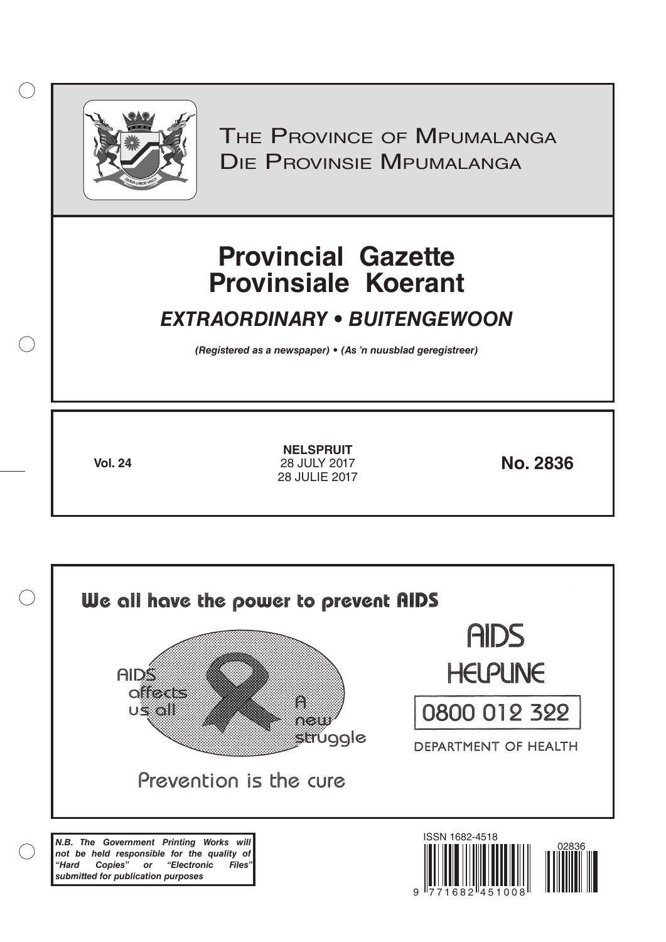

 $( )$ 

THE PROVINCE OF MPUMALANGA Die Provinsie Mpumalanga

# **Provincial Gazette Provinsiale Koerant**

# *EXTRAORDINARY • BUITENGEWOON*

*(Registered as a newspaper) • (As 'n nuusblad geregistreer)*

**Vol. 24 No. 2836** 28 JULY 2017 **NELSPRUIT** 28 JULIE 2017

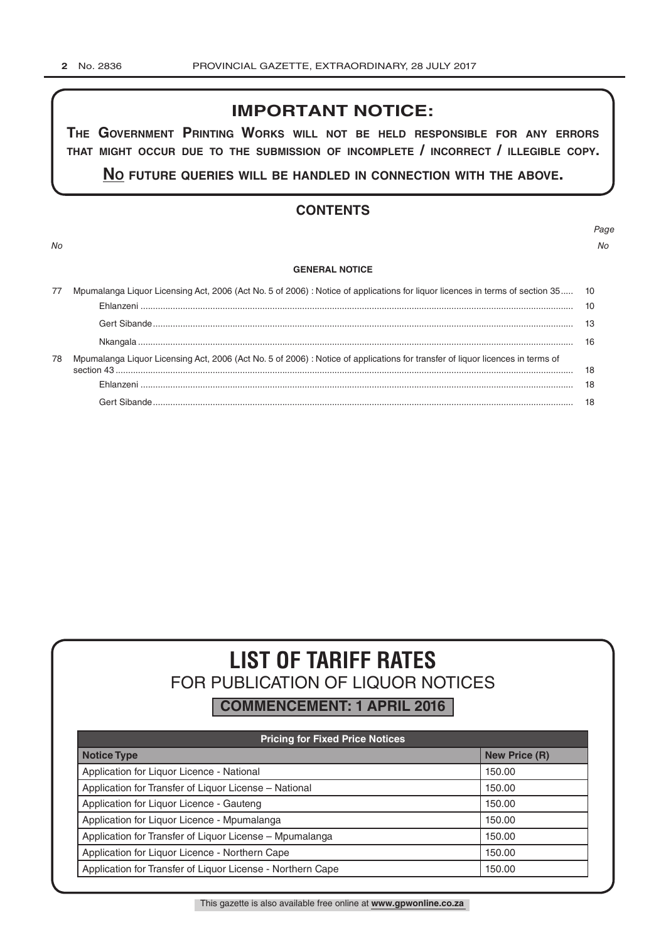# **IMPORTANT NOTICE:**

**The GovernmenT PrinTinG Works Will noT be held resPonsible for any errors ThaT miGhT occur due To The submission of incomPleTe / incorrecT / illeGible coPy.**

**no fuTure queries Will be handled in connecTion WiTh The above.**

# **CONTENTS**

*No No*

# *Page*

#### **GENERAL NOTICE**

|    | Mpumalanga Liquor Licensing Act, 2006 (Act No. 5 of 2006) : Notice of applications for liquor licences in terms of section 35 10 |    |  |  |
|----|----------------------------------------------------------------------------------------------------------------------------------|----|--|--|
|    |                                                                                                                                  | 10 |  |  |
|    |                                                                                                                                  |    |  |  |
|    |                                                                                                                                  | 16 |  |  |
| 78 | Mpumalanga Liquor Licensing Act, 2006 (Act No. 5 of 2006) : Notice of applications for transfer of liquor licences in terms of   |    |  |  |
|    |                                                                                                                                  | 18 |  |  |
|    |                                                                                                                                  | 18 |  |  |

# **LIST OF TARIFF RATES** FOR PUBLICATION OF LIQUOR NOTICES

**COMMENCEMENT: 1 APRIL 2016**

| <b>Pricing for Fixed Price Notices</b>                     |                      |  |  |  |
|------------------------------------------------------------|----------------------|--|--|--|
| <b>Notice Type</b>                                         | <b>New Price (R)</b> |  |  |  |
| Application for Liquor Licence - National                  | 150.00               |  |  |  |
| Application for Transfer of Liquor License - National      | 150.00               |  |  |  |
| Application for Liquor Licence - Gauteng                   | 150.00               |  |  |  |
| Application for Liquor Licence - Mpumalanga                | 150.00               |  |  |  |
| Application for Transfer of Liquor License - Mpumalanga    | 150.00               |  |  |  |
| Application for Liquor Licence - Northern Cape             | 150.00               |  |  |  |
| Application for Transfer of Liquor License - Northern Cape | 150.00               |  |  |  |

This gazette is also available free online at **www.gpwonline.co.za**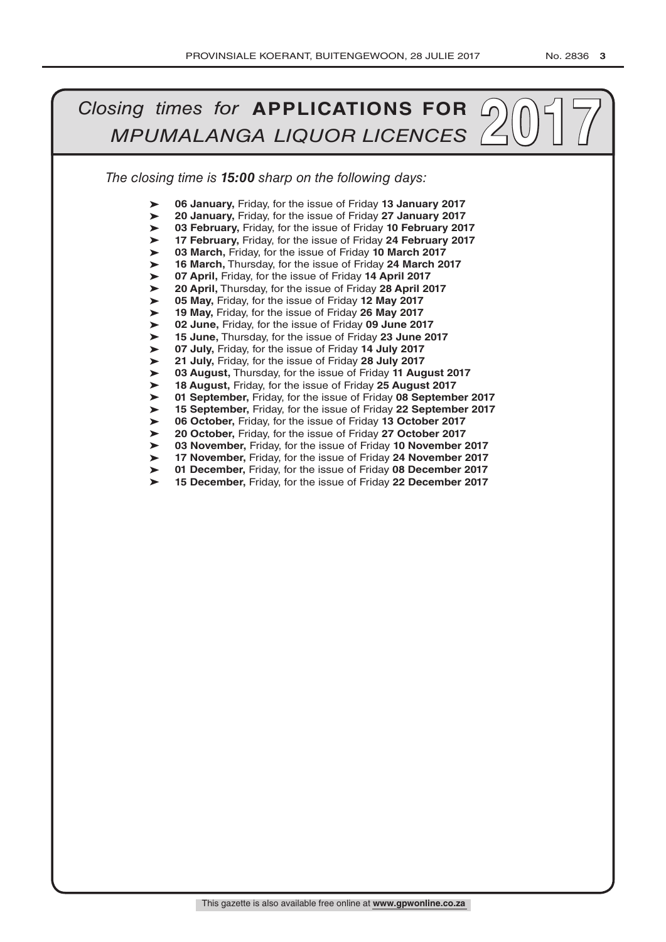#### *The closing time is 15:00 sharp on the following days: 2017**MPUMALANGA LIQUOR LICENCES* ➤ ➤ ➤ ➤ ➤ ➤ ➤ ➤ ➤ ➤ ➤ ➤ ➤ ➤ ➤ ➤ ➤ ➤ ➤ ➤ ➤ ➤ ➤ ➤ **06 January,** Friday, for the issue of Friday **13 January 2017 20 January,** Friday, for the issue of Friday **27 January 2017 03 February,** Friday, for the issue of Friday **10 February 2017 17 February,** Friday, for the issue of Friday **24 February 2017 03 March,** Friday, for the issue of Friday **10 March 2017 16 March,** Thursday, for the issue of Friday **24 March 2017 07 April,** Friday, for the issue of Friday **14 April 2017 20 April,** Thursday, for the issue of Friday **28 April 2017 05 May,** Friday, for the issue of Friday **12 May 2017 19 May,** Friday, for the issue of Friday **26 May 2017 02 June,** Friday, for the issue of Friday **09 June 2017 15 June,** Thursday, for the issue of Friday **23 June 2017 07 July,** Friday, for the issue of Friday **14 July 2017 21 July,** Friday, for the issue of Friday **28 July 2017 03 August,** Thursday, for the issue of Friday **11 August 2017 18 August,** Friday, for the issue of Friday **25 August 2017 01 September,** Friday, for the issue of Friday **08 September 2017 15 September,** Friday, for the issue of Friday **22 September 2017 06 October,** Friday, for the issue of Friday **13 October 2017 20 October,** Friday, for the issue of Friday **27 October 2017 03 November,** Friday, for the issue of Friday **10 November 2017 17 November,** Friday, for the issue of Friday **24 November 2017 01 December,** Friday, for the issue of Friday **08 December 2017 15 December,** Friday, for the issue of Friday **22 December 2017**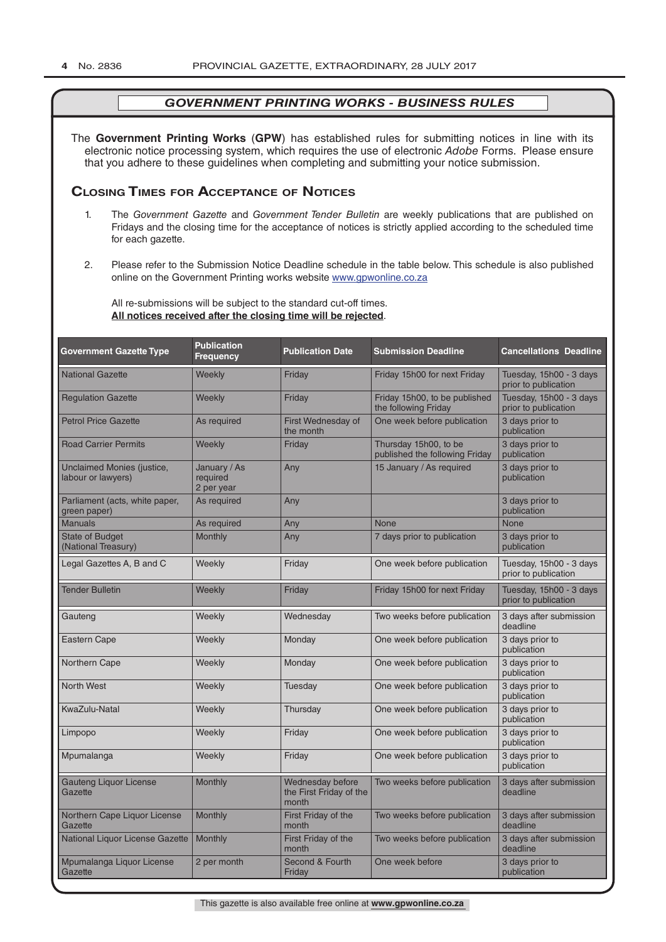The **Government Printing Works** (**GPW**) has established rules for submitting notices in line with its electronic notice processing system, which requires the use of electronic *Adobe* Forms. Please ensure that you adhere to these guidelines when completing and submitting your notice submission.

# **Closing Times for ACCepTAnCe of noTiCes**

- 1. The *Government Gazette* and *Government Tender Bulletin* are weekly publications that are published on Fridays and the closing time for the acceptance of notices is strictly applied according to the scheduled time for each gazette.
- 2. Please refer to the Submission Notice Deadline schedule in the table below. This schedule is also published online on the Government Printing works website www.gpwonline.co.za

All re-submissions will be subject to the standard cut-off times. **All notices received after the closing time will be rejected**.

| <b>Government Gazette Type</b>                   | <b>Publication</b><br><b>Frequency</b> | <b>Publication Date</b>                              | <b>Submission Deadline</b>                              | <b>Cancellations Deadline</b>                   |
|--------------------------------------------------|----------------------------------------|------------------------------------------------------|---------------------------------------------------------|-------------------------------------------------|
| <b>National Gazette</b>                          | Weekly                                 | Friday                                               | Friday 15h00 for next Friday                            | Tuesday, 15h00 - 3 days<br>prior to publication |
| <b>Regulation Gazette</b>                        | Weekly                                 | Friday                                               | Friday 15h00, to be published<br>the following Friday   | Tuesday, 15h00 - 3 days<br>prior to publication |
| <b>Petrol Price Gazette</b>                      | As required                            | First Wednesday of<br>the month                      | One week before publication                             | 3 days prior to<br>publication                  |
| <b>Road Carrier Permits</b>                      | Weekly                                 | Friday                                               | Thursday 15h00, to be<br>published the following Friday | 3 days prior to<br>publication                  |
| Unclaimed Monies (justice,<br>labour or lawyers) | January / As<br>required<br>2 per year | Any                                                  | 15 January / As required                                | 3 days prior to<br>publication                  |
| Parliament (acts, white paper,<br>green paper)   | As required                            | Any                                                  |                                                         | 3 days prior to<br>publication                  |
| <b>Manuals</b>                                   | As required                            | Any                                                  | <b>None</b>                                             | <b>None</b>                                     |
| <b>State of Budget</b><br>(National Treasury)    | <b>Monthly</b>                         | Any                                                  | 7 days prior to publication                             | 3 days prior to<br>publication                  |
| Legal Gazettes A, B and C                        | Weekly                                 | Friday                                               | One week before publication                             | Tuesday, 15h00 - 3 days<br>prior to publication |
| <b>Tender Bulletin</b>                           | Weekly                                 | Friday                                               | Friday 15h00 for next Friday                            | Tuesday, 15h00 - 3 days<br>prior to publication |
| Gauteng                                          | Weekly                                 | Wednesday                                            | Two weeks before publication                            | 3 days after submission<br>deadline             |
| <b>Eastern Cape</b>                              | Weekly                                 | Monday                                               | One week before publication                             | 3 days prior to<br>publication                  |
| Northern Cape                                    | Weekly                                 | Monday                                               | One week before publication                             | 3 days prior to<br>publication                  |
| <b>North West</b>                                | Weekly                                 | Tuesday                                              | One week before publication                             | 3 days prior to<br>publication                  |
| KwaZulu-Natal                                    | Weekly                                 | Thursday                                             | One week before publication                             | 3 days prior to<br>publication                  |
| Limpopo                                          | Weekly                                 | Friday                                               | One week before publication                             | 3 days prior to<br>publication                  |
| Mpumalanga                                       | Weekly                                 | Friday                                               | One week before publication                             | 3 days prior to<br>publication                  |
| <b>Gauteng Liquor License</b><br>Gazette         | Monthly                                | Wednesday before<br>the First Friday of the<br>month | Two weeks before publication                            | 3 days after submission<br>deadline             |
| Northern Cape Liquor License<br>Gazette          | <b>Monthly</b>                         | First Friday of the<br>month                         | Two weeks before publication                            | 3 days after submission<br>deadline             |
| National Liquor License Gazette                  | Monthly                                | First Friday of the<br>month                         | Two weeks before publication                            | 3 days after submission<br>deadline             |
| Mpumalanga Liquor License<br>Gazette             | 2 per month                            | Second & Fourth<br>Friday                            | One week before                                         | 3 days prior to<br>publication                  |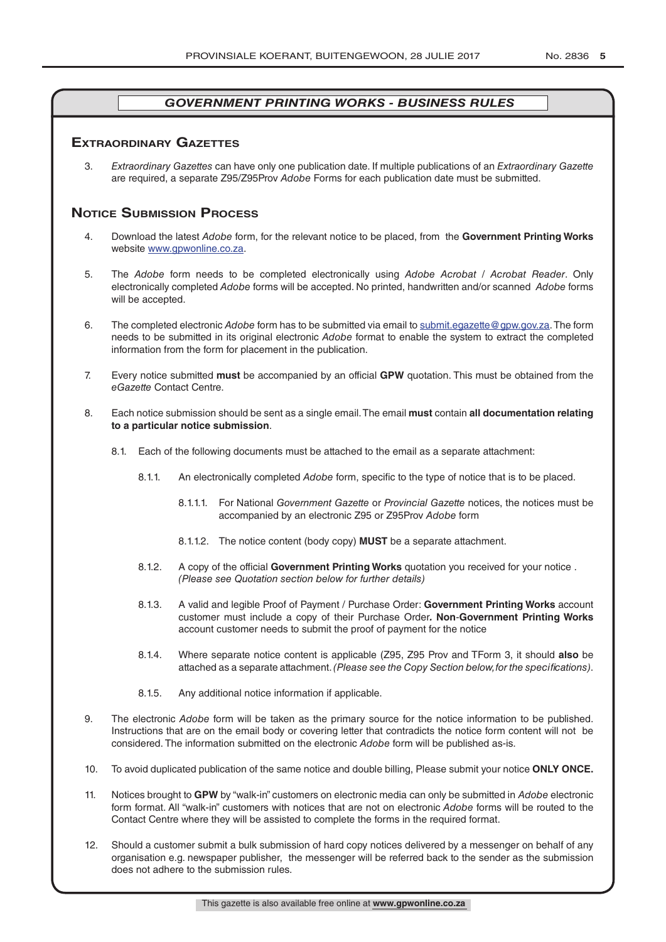# **exTrAordinAry gAzeTTes**

3. *Extraordinary Gazettes* can have only one publication date. If multiple publications of an *Extraordinary Gazette* are required, a separate Z95/Z95Prov *Adobe* Forms for each publication date must be submitted.

# **NOTICE SUBMISSION PROCESS**

- 4. Download the latest *Adobe* form, for the relevant notice to be placed, from the **Government Printing Works** website www.gpwonline.co.za.
- 5. The *Adobe* form needs to be completed electronically using *Adobe Acrobat* / *Acrobat Reader*. Only electronically completed *Adobe* forms will be accepted. No printed, handwritten and/or scanned *Adobe* forms will be accepted.
- 6. The completed electronic *Adobe* form has to be submitted via email to submit.egazette@gpw.gov.za. The form needs to be submitted in its original electronic *Adobe* format to enable the system to extract the completed information from the form for placement in the publication.
- 7. Every notice submitted **must** be accompanied by an official **GPW** quotation. This must be obtained from the *eGazette* Contact Centre.
- 8. Each notice submission should be sent as a single email. The email **must** contain **all documentation relating to a particular notice submission**.
	- 8.1. Each of the following documents must be attached to the email as a separate attachment:
		- 8.1.1. An electronically completed *Adobe* form, specific to the type of notice that is to be placed.
			- 8.1.1.1. For National *Government Gazette* or *Provincial Gazette* notices, the notices must be accompanied by an electronic Z95 or Z95Prov *Adobe* form
			- 8.1.1.2. The notice content (body copy) **MUST** be a separate attachment.
		- 8.1.2. A copy of the official **Government Printing Works** quotation you received for your notice . *(Please see Quotation section below for further details)*
		- 8.1.3. A valid and legible Proof of Payment / Purchase Order: **Government Printing Works** account customer must include a copy of their Purchase Order*.* **Non**-**Government Printing Works** account customer needs to submit the proof of payment for the notice
		- 8.1.4. Where separate notice content is applicable (Z95, Z95 Prov and TForm 3, it should **also** be attached as a separate attachment. *(Please see the Copy Section below, for the specifications)*.
		- 8.1.5. Any additional notice information if applicable.
- 9. The electronic *Adobe* form will be taken as the primary source for the notice information to be published. Instructions that are on the email body or covering letter that contradicts the notice form content will not be considered. The information submitted on the electronic *Adobe* form will be published as-is.
- 10. To avoid duplicated publication of the same notice and double billing, Please submit your notice **ONLY ONCE.**
- 11. Notices brought to **GPW** by "walk-in" customers on electronic media can only be submitted in *Adobe* electronic form format. All "walk-in" customers with notices that are not on electronic *Adobe* forms will be routed to the Contact Centre where they will be assisted to complete the forms in the required format.
- 12. Should a customer submit a bulk submission of hard copy notices delivered by a messenger on behalf of any organisation e.g. newspaper publisher, the messenger will be referred back to the sender as the submission does not adhere to the submission rules.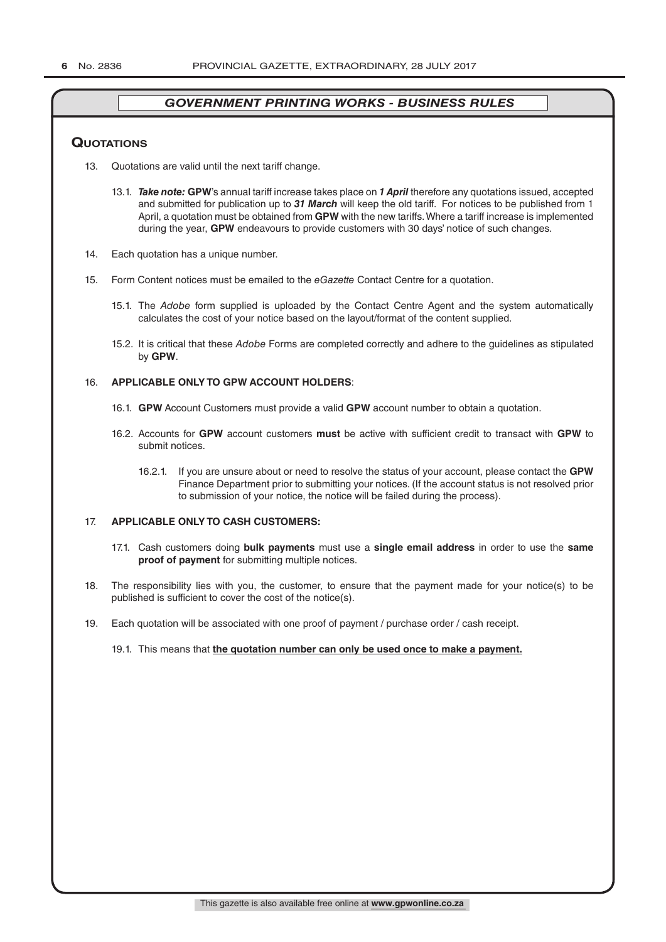#### **QuoTATions**

- 13. Quotations are valid until the next tariff change.
	- 13.1. *Take note:* **GPW**'s annual tariff increase takes place on *1 April* therefore any quotations issued, accepted and submitted for publication up to *31 March* will keep the old tariff. For notices to be published from 1 April, a quotation must be obtained from **GPW** with the new tariffs. Where a tariff increase is implemented during the year, **GPW** endeavours to provide customers with 30 days' notice of such changes.
- 14. Each quotation has a unique number.
- 15. Form Content notices must be emailed to the *eGazette* Contact Centre for a quotation.
	- 15.1. The *Adobe* form supplied is uploaded by the Contact Centre Agent and the system automatically calculates the cost of your notice based on the layout/format of the content supplied.
	- 15.2. It is critical that these *Adobe* Forms are completed correctly and adhere to the guidelines as stipulated by **GPW**.

#### 16. **APPLICABLE ONLY TO GPW ACCOUNT HOLDERS**:

- 16.1. **GPW** Account Customers must provide a valid **GPW** account number to obtain a quotation.
- 16.2. Accounts for **GPW** account customers **must** be active with sufficient credit to transact with **GPW** to submit notices.
	- 16.2.1. If you are unsure about or need to resolve the status of your account, please contact the **GPW** Finance Department prior to submitting your notices. (If the account status is not resolved prior to submission of your notice, the notice will be failed during the process).

#### 17. **APPLICABLE ONLY TO CASH CUSTOMERS:**

- 17.1. Cash customers doing **bulk payments** must use a **single email address** in order to use the **same proof of payment** for submitting multiple notices.
- 18. The responsibility lies with you, the customer, to ensure that the payment made for your notice(s) to be published is sufficient to cover the cost of the notice(s).
- 19. Each quotation will be associated with one proof of payment / purchase order / cash receipt.

#### 19.1. This means that **the quotation number can only be used once to make a payment.**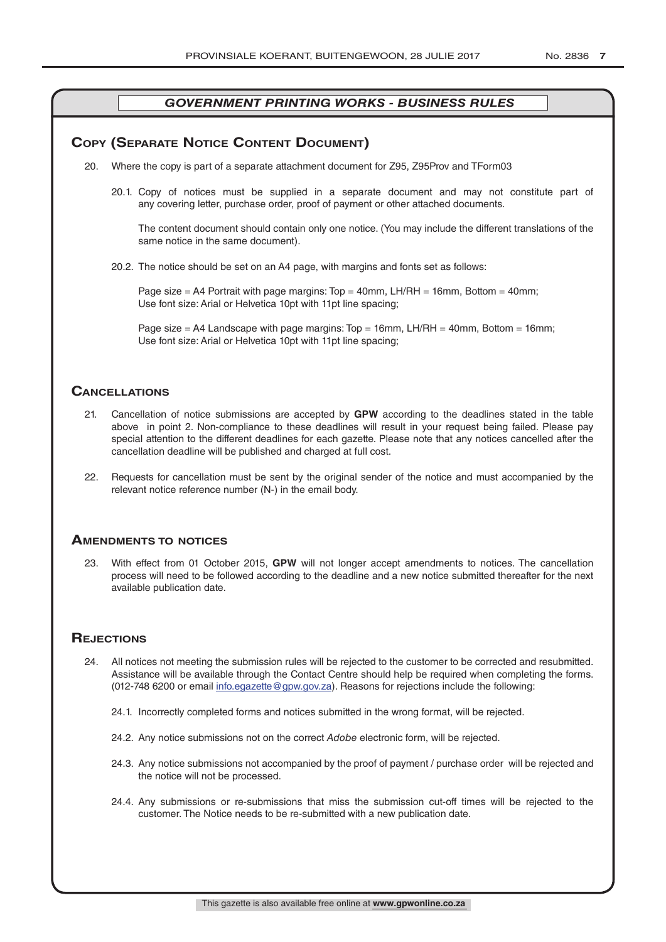# **COPY (SEPARATE NOTICE CONTENT DOCUMENT)**

- 20. Where the copy is part of a separate attachment document for Z95, Z95Prov and TForm03
	- 20.1. Copy of notices must be supplied in a separate document and may not constitute part of any covering letter, purchase order, proof of payment or other attached documents.

The content document should contain only one notice. (You may include the different translations of the same notice in the same document).

20.2. The notice should be set on an A4 page, with margins and fonts set as follows:

Page size  $=$  A4 Portrait with page margins: Top  $=$  40mm, LH/RH  $=$  16mm, Bottom  $=$  40mm; Use font size: Arial or Helvetica 10pt with 11pt line spacing;

Page size = A4 Landscape with page margins: Top = 16mm, LH/RH = 40mm, Bottom = 16mm; Use font size: Arial or Helvetica 10pt with 11pt line spacing;

### **CAnCellATions**

- 21. Cancellation of notice submissions are accepted by **GPW** according to the deadlines stated in the table above in point 2. Non-compliance to these deadlines will result in your request being failed. Please pay special attention to the different deadlines for each gazette. Please note that any notices cancelled after the cancellation deadline will be published and charged at full cost.
- 22. Requests for cancellation must be sent by the original sender of the notice and must accompanied by the relevant notice reference number (N-) in the email body.

#### **AmendmenTs To noTiCes**

23. With effect from 01 October 2015, **GPW** will not longer accept amendments to notices. The cancellation process will need to be followed according to the deadline and a new notice submitted thereafter for the next available publication date.

# **REJECTIONS**

- 24. All notices not meeting the submission rules will be rejected to the customer to be corrected and resubmitted. Assistance will be available through the Contact Centre should help be required when completing the forms. (012-748 6200 or email info.egazette@gpw.gov.za). Reasons for rejections include the following:
	- 24.1. Incorrectly completed forms and notices submitted in the wrong format, will be rejected.
	- 24.2. Any notice submissions not on the correct *Adobe* electronic form, will be rejected.
	- 24.3. Any notice submissions not accompanied by the proof of payment / purchase order will be rejected and the notice will not be processed.
	- 24.4. Any submissions or re-submissions that miss the submission cut-off times will be rejected to the customer. The Notice needs to be re-submitted with a new publication date.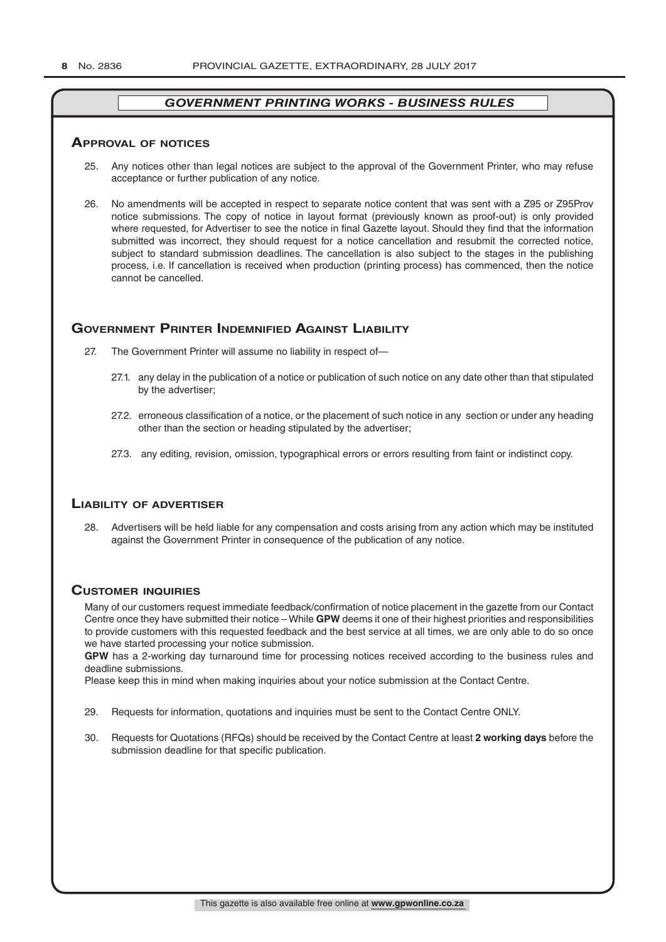#### **ApprovAl of noTiCes**

- 25. Any notices other than legal notices are subject to the approval of the Government Printer, who may refuse acceptance or further publication of any notice.
- 26. No amendments will be accepted in respect to separate notice content that was sent with a Z95 or Z95Prov notice submissions. The copy of notice in layout format (previously known as proof-out) is only provided where requested, for Advertiser to see the notice in final Gazette layout. Should they find that the information submitted was incorrect, they should request for a notice cancellation and resubmit the corrected notice, subject to standard submission deadlines. The cancellation is also subject to the stages in the publishing process, i.e. If cancellation is received when production (printing process) has commenced, then the notice cannot be cancelled.

# **governmenT prinTer indemnified AgAinsT liAbiliTy**

- 27. The Government Printer will assume no liability in respect of—
	- 27.1. any delay in the publication of a notice or publication of such notice on any date other than that stipulated by the advertiser;
	- 27.2. erroneous classification of a notice, or the placement of such notice in any section or under any heading other than the section or heading stipulated by the advertiser;
	- 27.3. any editing, revision, omission, typographical errors or errors resulting from faint or indistinct copy.

# **liAbiliTy of AdverTiser**

28. Advertisers will be held liable for any compensation and costs arising from any action which may be instituted against the Government Printer in consequence of the publication of any notice.

# **CusTomer inQuiries**

Many of our customers request immediate feedback/confirmation of notice placement in the gazette from our Contact Centre once they have submitted their notice – While **GPW** deems it one of their highest priorities and responsibilities to provide customers with this requested feedback and the best service at all times, we are only able to do so once we have started processing your notice submission.

**GPW** has a 2-working day turnaround time for processing notices received according to the business rules and deadline submissions.

Please keep this in mind when making inquiries about your notice submission at the Contact Centre.

- 29. Requests for information, quotations and inquiries must be sent to the Contact Centre ONLY.
- 30. Requests for Quotations (RFQs) should be received by the Contact Centre at least **2 working days** before the submission deadline for that specific publication.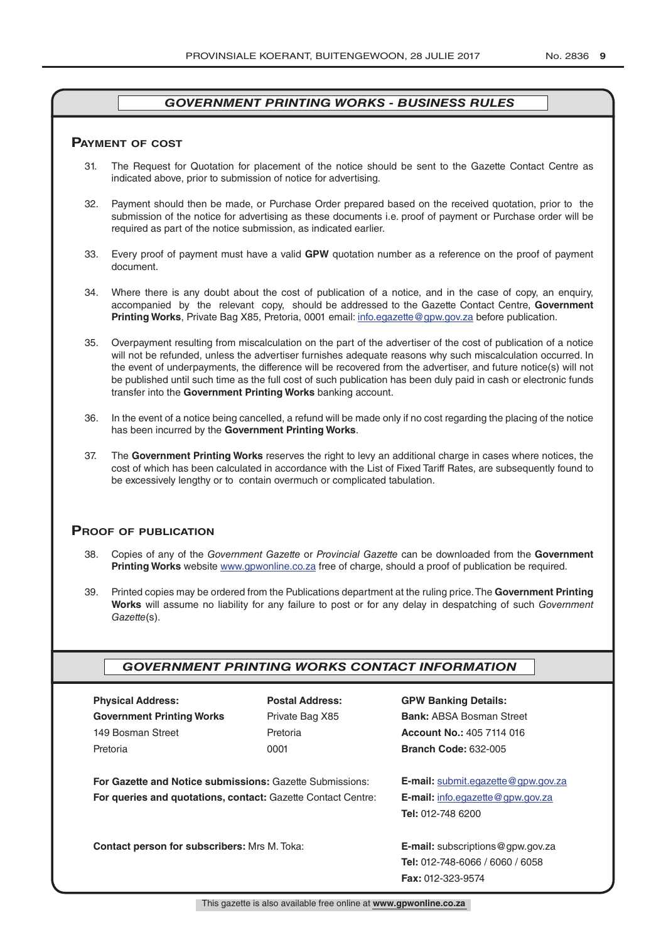#### **pAymenT of CosT**

- 31. The Request for Quotation for placement of the notice should be sent to the Gazette Contact Centre as indicated above, prior to submission of notice for advertising.
- 32. Payment should then be made, or Purchase Order prepared based on the received quotation, prior to the submission of the notice for advertising as these documents i.e. proof of payment or Purchase order will be required as part of the notice submission, as indicated earlier.
- 33. Every proof of payment must have a valid **GPW** quotation number as a reference on the proof of payment document.
- 34. Where there is any doubt about the cost of publication of a notice, and in the case of copy, an enquiry, accompanied by the relevant copy, should be addressed to the Gazette Contact Centre, **Government Printing Works**, Private Bag X85, Pretoria, 0001 email: info.egazette@gpw.gov.za before publication.
- 35. Overpayment resulting from miscalculation on the part of the advertiser of the cost of publication of a notice will not be refunded, unless the advertiser furnishes adequate reasons why such miscalculation occurred. In the event of underpayments, the difference will be recovered from the advertiser, and future notice(s) will not be published until such time as the full cost of such publication has been duly paid in cash or electronic funds transfer into the **Government Printing Works** banking account.
- 36. In the event of a notice being cancelled, a refund will be made only if no cost regarding the placing of the notice has been incurred by the **Government Printing Works**.
- 37. The **Government Printing Works** reserves the right to levy an additional charge in cases where notices, the cost of which has been calculated in accordance with the List of Fixed Tariff Rates, are subsequently found to be excessively lengthy or to contain overmuch or complicated tabulation.

#### **proof of publiCATion**

- 38. Copies of any of the *Government Gazette* or *Provincial Gazette* can be downloaded from the **Government Printing Works** website www.gpwonline.co.za free of charge, should a proof of publication be required.
- 39. Printed copies may be ordered from the Publications department at the ruling price. The **Government Printing Works** will assume no liability for any failure to post or for any delay in despatching of such *Government Gazette*(s).

# *GOVERNMENT PRINTING WORKS CONTACT INFORMATION*

| <b>Physical Address:</b>         |  |  |  |  |
|----------------------------------|--|--|--|--|
| <b>Government Printing Works</b> |  |  |  |  |
| 149 Bosman Street                |  |  |  |  |
| Pretoria                         |  |  |  |  |

**For Gazette and Notice submissions:** Gazette Submissions: **E-mail:** submit.egazette@gpw.gov.za **For queries and quotations, contact:** Gazette Contact Centre: **E-mail:** info.egazette@gpw.gov.za

**Contact person for subscribers:** Mrs M. Toka: **E-mail:** subscriptions@gpw.gov.za

# **Physical Address: Postal Address: GPW Banking Details:**

Private Bag X85 **Bank:** ABSA Bosman Street 149 Bosman Street Pretoria **Account No.:** 405 7114 016 Pretoria 0001 **Branch Code:** 632-005

**Tel:** 012-748 6200

**Tel:** 012-748-6066 / 6060 / 6058 **Fax:** 012-323-9574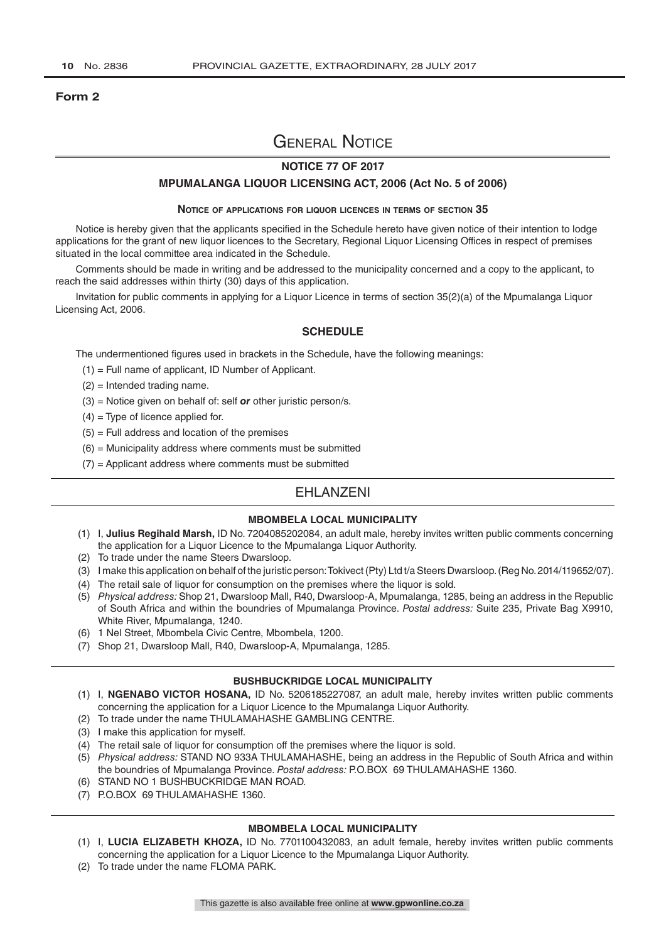#### **Form 2**

# General Notice

### **NOTICE 77 OF 2017**

#### **MPUMALANGA LIQUOR LICENSING ACT, 2006 (Act No. 5 of 2006)**

#### **Notice of applications for liquor licences in terms of section 35**

Notice is hereby given that the applicants specified in the Schedule hereto have given notice of their intention to lodge applications for the grant of new liquor licences to the Secretary, Regional Liquor Licensing Offices in respect of premises situated in the local committee area indicated in the Schedule.

Comments should be made in writing and be addressed to the municipality concerned and a copy to the applicant, to reach the said addresses within thirty (30) days of this application.

Invitation for public comments in applying for a Liquor Licence in terms of section 35(2)(a) of the Mpumalanga Liquor Licensing Act, 2006.

#### **SCHEDULE**

The undermentioned figures used in brackets in the Schedule, have the following meanings:

- (1) = Full name of applicant, ID Number of Applicant.
- (2) = Intended trading name.
- (3) = Notice given on behalf of: self *or* other juristic person/s.
- $(4)$  = Type of licence applied for.
- $(5)$  = Full address and location of the premises
- $(6)$  = Municipality address where comments must be submitted
- $(7)$  = Applicant address where comments must be submitted

# EHLANZENI

#### **MBOMBELA LOCAL MUNICIPALITY**

- (1) I, **Julius Regihald Marsh,** ID No. 7204085202084, an adult male, hereby invites written public comments concerning the application for a Liquor Licence to the Mpumalanga Liquor Authority.
- (2) To trade under the name Steers Dwarsloop.
- (3) I make this application on behalf of the juristic person: Tokivect (Pty) Ltd t/a Steers Dwarsloop. (Reg No. 2014/119652/07).
- (4) The retail sale of liquor for consumption on the premises where the liquor is sold.
- (5) *Physical address:* Shop 21, Dwarsloop Mall, R40, Dwarsloop-A, Mpumalanga, 1285, being an address in the Republic of South Africa and within the boundries of Mpumalanga Province. *Postal address:* Suite 235, Private Bag X9910, White River, Mpumalanga, 1240.
- (6) 1 Nel Street, Mbombela Civic Centre, Mbombela, 1200.
- (7) Shop 21, Dwarsloop Mall, R40, Dwarsloop-A, Mpumalanga, 1285.

#### **BUSHBUCKRIDGE LOCAL MUNICIPALITY**

- (1) I, **NGENABO VICTOR HOSANA,** ID No. 5206185227087, an adult male, hereby invites written public comments concerning the application for a Liquor Licence to the Mpumalanga Liquor Authority.
- (2) To trade under the name THULAMAHASHE GAMBLING CENTRE.
- (3) I make this application for myself.
- (4) The retail sale of liquor for consumption off the premises where the liquor is sold.
- (5) *Physical address:* STAND NO 933A THULAMAHASHE, being an address in the Republic of South Africa and within the boundries of Mpumalanga Province. *Postal address:* P.O.BOX 69 THULAMAHASHE 1360.
- (6) STAND NO 1 BUSHBUCKRIDGE MAN ROAD.
- (7) P.O.BOX 69 THULAMAHASHE 1360.

#### **MBOMBELA LOCAL MUNICIPALITY**

- (1) I, **LUCIA ELIZABETH KHOZA,** ID No. 7701100432083, an adult female, hereby invites written public comments concerning the application for a Liquor Licence to the Mpumalanga Liquor Authority.
- (2) To trade under the name FLOMA PARK.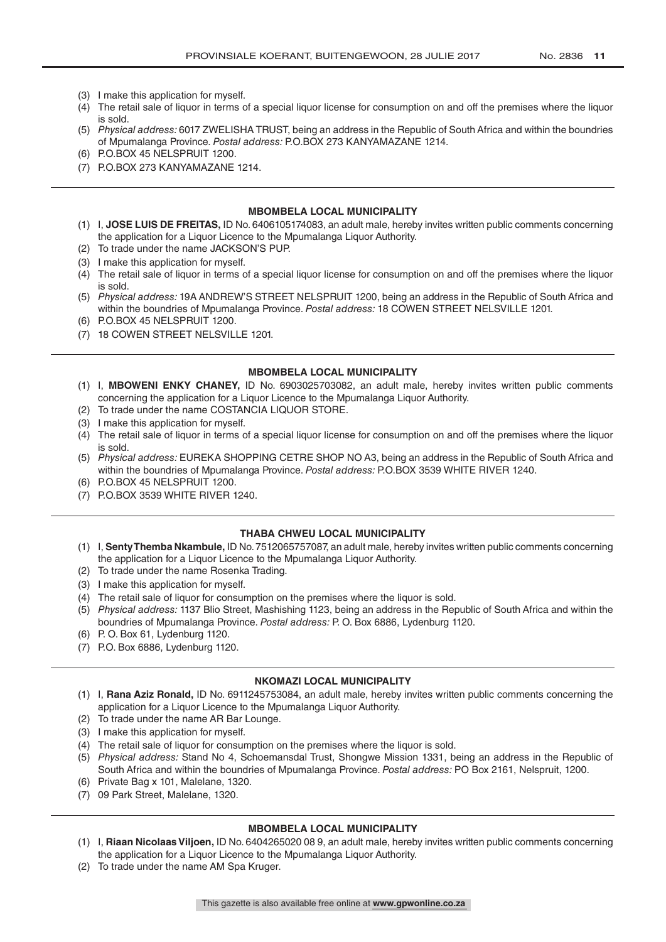- (3) I make this application for myself.
- (4) The retail sale of liquor in terms of a special liquor license for consumption on and off the premises where the liquor is sold.
- (5) *Physical address:* 6017 ZWELISHA TRUST, being an address in the Republic of South Africa and within the boundries of Mpumalanga Province. *Postal address:* P.O.BOX 273 KANYAMAZANE 1214.
- (6) P.O.BOX 45 NELSPRUIT 1200.
- (7) P.O.BOX 273 KANYAMAZANE 1214.

#### **MBOMBELA LOCAL MUNICIPALITY**

- (1) I, **JOSE LUIS DE FREITAS,** ID No. 6406105174083, an adult male, hereby invites written public comments concerning the application for a Liquor Licence to the Mpumalanga Liquor Authority.
- (2) To trade under the name JACKSON'S PUP.
- (3) I make this application for myself.
- (4) The retail sale of liquor in terms of a special liquor license for consumption on and off the premises where the liquor is sold.
- (5) *Physical address:* 19A ANDREW'S STREET NELSPRUIT 1200, being an address in the Republic of South Africa and within the boundries of Mpumalanga Province. *Postal address:* 18 COWEN STREET NELSVILLE 1201.
- (6) P.O.BOX 45 NELSPRUIT 1200.
- (7) 18 COWEN STREET NELSVILLE 1201.

#### **MBOMBELA LOCAL MUNICIPALITY**

- (1) I, **MBOWENI ENKY CHANEY,** ID No. 6903025703082, an adult male, hereby invites written public comments concerning the application for a Liquor Licence to the Mpumalanga Liquor Authority.
- (2) To trade under the name COSTANCIA LIQUOR STORE.
- (3) I make this application for myself.
- (4) The retail sale of liquor in terms of a special liquor license for consumption on and off the premises where the liquor is sold.
- (5) *Physical address:* EUREKA SHOPPING CETRE SHOP NO A3, being an address in the Republic of South Africa and within the boundries of Mpumalanga Province. *Postal address:* P.O.BOX 3539 WHITE RIVER 1240.
- (6) P.O.BOX 45 NELSPRUIT 1200.
- (7) P.O.BOX 3539 WHITE RIVER 1240.

#### **THABA CHWEU LOCAL MUNICIPALITY**

- (1) I, **Senty Themba Nkambule,** ID No. 7512065757087, an adult male, hereby invites written public comments concerning the application for a Liquor Licence to the Mpumalanga Liquor Authority.
- (2) To trade under the name Rosenka Trading.
- (3) I make this application for myself.
- (4) The retail sale of liquor for consumption on the premises where the liquor is sold.
- (5) *Physical address:* 1137 Blio Street, Mashishing 1123, being an address in the Republic of South Africa and within the boundries of Mpumalanga Province. *Postal address:* P. O. Box 6886, Lydenburg 1120.
- (6) P. O. Box 61, Lydenburg 1120.
- (7) P.O. Box 6886, Lydenburg 1120.

#### **NKOMAZI LOCAL MUNICIPALITY**

- (1) I, **Rana Aziz Ronald,** ID No. 6911245753084, an adult male, hereby invites written public comments concerning the application for a Liquor Licence to the Mpumalanga Liquor Authority.
- (2) To trade under the name AR Bar Lounge.
- (3) I make this application for myself.
- (4) The retail sale of liquor for consumption on the premises where the liquor is sold.
- (5) *Physical address:* Stand No 4, Schoemansdal Trust, Shongwe Mission 1331, being an address in the Republic of South Africa and within the boundries of Mpumalanga Province. *Postal address:* PO Box 2161, Nelspruit, 1200.
- (6) Private Bag x 101, Malelane, 1320.
- (7) 09 Park Street, Malelane, 1320.

#### **MBOMBELA LOCAL MUNICIPALITY**

- (1) I, **Riaan Nicolaas Viljoen,** ID No. 6404265020 08 9, an adult male, hereby invites written public comments concerning the application for a Liquor Licence to the Mpumalanga Liquor Authority.
- (2) To trade under the name AM Spa Kruger.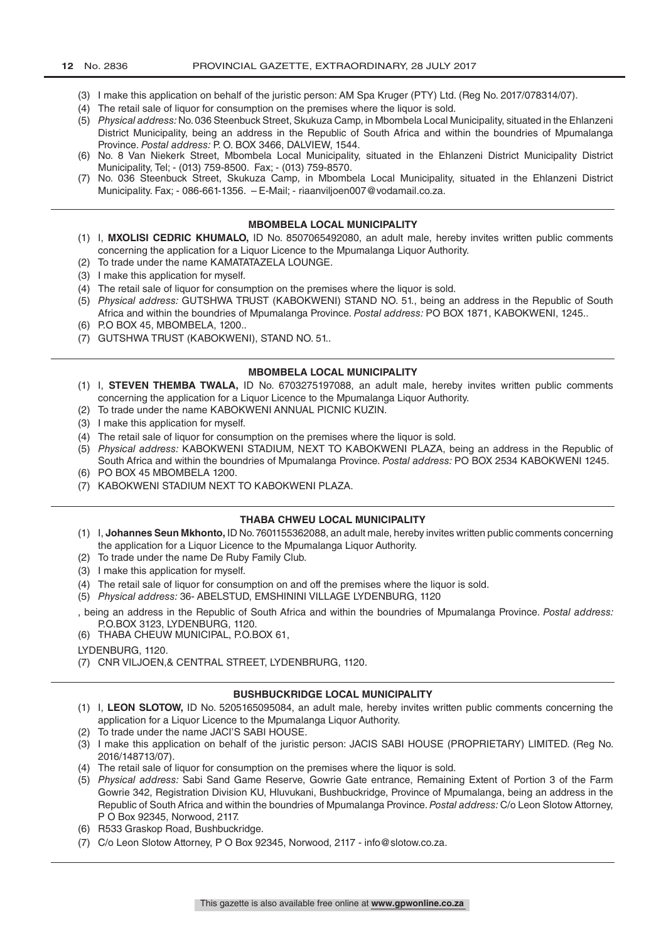- (3) I make this application on behalf of the juristic person: AM Spa Kruger (PTY) Ltd. (Reg No. 2017/078314/07).
- (4) The retail sale of liquor for consumption on the premises where the liquor is sold.
- (5) *Physical address:* No. 036 Steenbuck Street, Skukuza Camp, in Mbombela Local Municipality, situated in the Ehlanzeni District Municipality, being an address in the Republic of South Africa and within the boundries of Mpumalanga Province. *Postal address:* P. O. BOX 3466, DALVIEW, 1544.
- (6) No. 8 Van Niekerk Street, Mbombela Local Municipality, situated in the Ehlanzeni District Municipality District Municipality, Tel; - (013) 759-8500. Fax; - (013) 759-8570.
- (7) No. 036 Steenbuck Street, Skukuza Camp, in Mbombela Local Municipality, situated in the Ehlanzeni District Municipality. Fax; - 086-661-1356. – E-Mail; - riaanviljoen007@vodamail.co.za.

#### **MBOMBELA LOCAL MUNICIPALITY**

- (1) I, **MXOLISI CEDRIC KHUMALO,** ID No. 8507065492080, an adult male, hereby invites written public comments concerning the application for a Liquor Licence to the Mpumalanga Liquor Authority.
- (2) To trade under the name KAMATATAZELA LOUNGE.
- (3) I make this application for myself.
- (4) The retail sale of liquor for consumption on the premises where the liquor is sold.
- (5) *Physical address:* GUTSHWA TRUST (KABOKWENI) STAND NO. 51., being an address in the Republic of South Africa and within the boundries of Mpumalanga Province. *Postal address:* PO BOX 1871, KABOKWENI, 1245..
- (6) P.O BOX 45, MBOMBELA, 1200..
- (7) GUTSHWA TRUST (KABOKWENI), STAND NO. 51..

#### **MBOMBELA LOCAL MUNICIPALITY**

- (1) I, **STEVEN THEMBA TWALA,** ID No. 6703275197088, an adult male, hereby invites written public comments concerning the application for a Liquor Licence to the Mpumalanga Liquor Authority.
- (2) To trade under the name KABOKWENI ANNUAL PICNIC KUZIN.
- (3) I make this application for myself.
- (4) The retail sale of liquor for consumption on the premises where the liquor is sold.
- (5) *Physical address:* KABOKWENI STADIUM, NEXT TO KABOKWENI PLAZA, being an address in the Republic of South Africa and within the boundries of Mpumalanga Province. *Postal address:* PO BOX 2534 KABOKWENI 1245.
- (6) PO BOX 45 MBOMBELA 1200.
- (7) KABOKWENI STADIUM NEXT TO KABOKWENI PLAZA.

#### **THABA CHWEU LOCAL MUNICIPALITY**

- (1) I, **Johannes Seun Mkhonto,** ID No. 7601155362088, an adult male, hereby invites written public comments concerning the application for a Liquor Licence to the Mpumalanga Liquor Authority.
- (2) To trade under the name De Ruby Family Club.
- (3) I make this application for myself.
- (4) The retail sale of liquor for consumption on and off the premises where the liquor is sold.
- (5) *Physical address:* 36- ABELSTUD, EMSHININI VILLAGE LYDENBURG, 1120
- , being an address in the Republic of South Africa and within the boundries of Mpumalanga Province. *Postal address:*  P.O.BOX 3123, LYDENBURG, 1120.
- (6) THABA CHEUW MUNICIPAL, P.O.BOX 61,
- LYDENBURG, 1120.
- (7) CNR VILJOEN,& CENTRAL STREET, LYDENBRURG, 1120.

#### **BUSHBUCKRIDGE LOCAL MUNICIPALITY**

- (1) I, **LEON SLOTOW,** ID No. 5205165095084, an adult male, hereby invites written public comments concerning the application for a Liquor Licence to the Mpumalanga Liquor Authority.
- (2) To trade under the name JACI'S SABI HOUSE.
- (3) I make this application on behalf of the juristic person: JACIS SABI HOUSE (PROPRIETARY) LIMITED. (Reg No. 2016/148713/07).
- (4) The retail sale of liquor for consumption on the premises where the liquor is sold.
- (5) *Physical address:* Sabi Sand Game Reserve, Gowrie Gate entrance, Remaining Extent of Portion 3 of the Farm Gowrie 342, Registration Division KU, Hluvukani, Bushbuckridge, Province of Mpumalanga, being an address in the Republic of South Africa and within the boundries of Mpumalanga Province. *Postal address:* C/o Leon Slotow Attorney, P O Box 92345, Norwood, 2117.
- (6) R533 Graskop Road, Bushbuckridge.
- (7) C/o Leon Slotow Attorney, P O Box 92345, Norwood, 2117 info@slotow.co.za.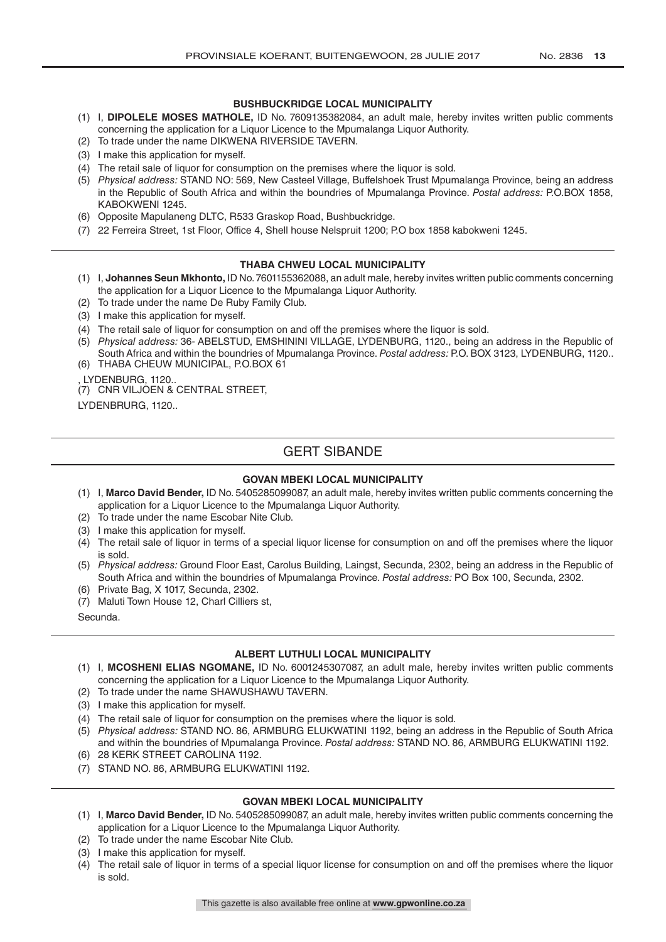#### **BUSHBUCKRIDGE LOCAL MUNICIPALITY**

- (1) I, **DIPOLELE MOSES MATHOLE,** ID No. 7609135382084, an adult male, hereby invites written public comments concerning the application for a Liquor Licence to the Mpumalanga Liquor Authority.
- (2) To trade under the name DIKWENA RIVERSIDE TAVERN.
- (3) I make this application for myself.
- (4) The retail sale of liquor for consumption on the premises where the liquor is sold.
- (5) *Physical address:* STAND NO: 569, New Casteel Village, Buffelshoek Trust Mpumalanga Province, being an address in the Republic of South Africa and within the boundries of Mpumalanga Province. *Postal address:* P.O.BOX 1858, KABOKWENI 1245.
- (6) Opposite Mapulaneng DLTC, R533 Graskop Road, Bushbuckridge.
- (7) 22 Ferreira Street, 1st Floor, Office 4, Shell house Nelspruit 1200; P.O box 1858 kabokweni 1245.

#### **THABA CHWEU LOCAL MUNICIPALITY**

- (1) I, **Johannes Seun Mkhonto,** ID No. 7601155362088, an adult male, hereby invites written public comments concerning the application for a Liquor Licence to the Mpumalanga Liquor Authority.
- (2) To trade under the name De Ruby Family Club.
- (3) I make this application for myself.
- (4) The retail sale of liquor for consumption on and off the premises where the liquor is sold.
- (5) *Physical address:* 36- ABELSTUD, EMSHININI VILLAGE, LYDENBURG, 1120., being an address in the Republic of South Africa and within the boundries of Mpumalanga Province. *Postal address:* P.O. BOX 3123, LYDENBURG, 1120..
- (6) THABA CHEUW MUNICIPAL, P.O.BOX 61

, LYDENBURG, 1120.. (7) CNR VILJOEN & CENTRAL STREET,

LYDENBRURG, 1120..

# GERT SIBANDE

#### **GOVAN MBEKI LOCAL MUNICIPALITY**

- (1) I, **Marco David Bender,** ID No. 5405285099087, an adult male, hereby invites written public comments concerning the application for a Liquor Licence to the Mpumalanga Liquor Authority.
- (2) To trade under the name Escobar Nite Club.
- (3) I make this application for myself.
- (4) The retail sale of liquor in terms of a special liquor license for consumption on and off the premises where the liquor is sold.
- (5) *Physical address:* Ground Floor East, Carolus Building, Laingst, Secunda, 2302, being an address in the Republic of South Africa and within the boundries of Mpumalanga Province. *Postal address:* PO Box 100, Secunda, 2302.
- (6) Private Bag, X 1017, Secunda, 2302.
- (7) Maluti Town House 12, Charl Cilliers st,

Secunda.

#### **ALBERT LUTHULI LOCAL MUNICIPALITY**

- (1) I, **MCOSHENI ELIAS NGOMANE,** ID No. 6001245307087, an adult male, hereby invites written public comments concerning the application for a Liquor Licence to the Mpumalanga Liquor Authority.
- (2) To trade under the name SHAWUSHAWU TAVERN.
- (3) I make this application for myself.
- (4) The retail sale of liquor for consumption on the premises where the liquor is sold.
- (5) *Physical address:* STAND NO. 86, ARMBURG ELUKWATINI 1192, being an address in the Republic of South Africa and within the boundries of Mpumalanga Province. *Postal address:* STAND NO. 86, ARMBURG ELUKWATINI 1192.
- (6) 28 KERK STREET CAROLINA 1192.
- (7) STAND NO. 86, ARMBURG ELUKWATINI 1192.

#### **GOVAN MBEKI LOCAL MUNICIPALITY**

- (1) I, **Marco David Bender,** ID No. 5405285099087, an adult male, hereby invites written public comments concerning the application for a Liquor Licence to the Mpumalanga Liquor Authority.
- (2) To trade under the name Escobar Nite Club.
- (3) I make this application for myself.
- (4) The retail sale of liquor in terms of a special liquor license for consumption on and off the premises where the liquor is sold.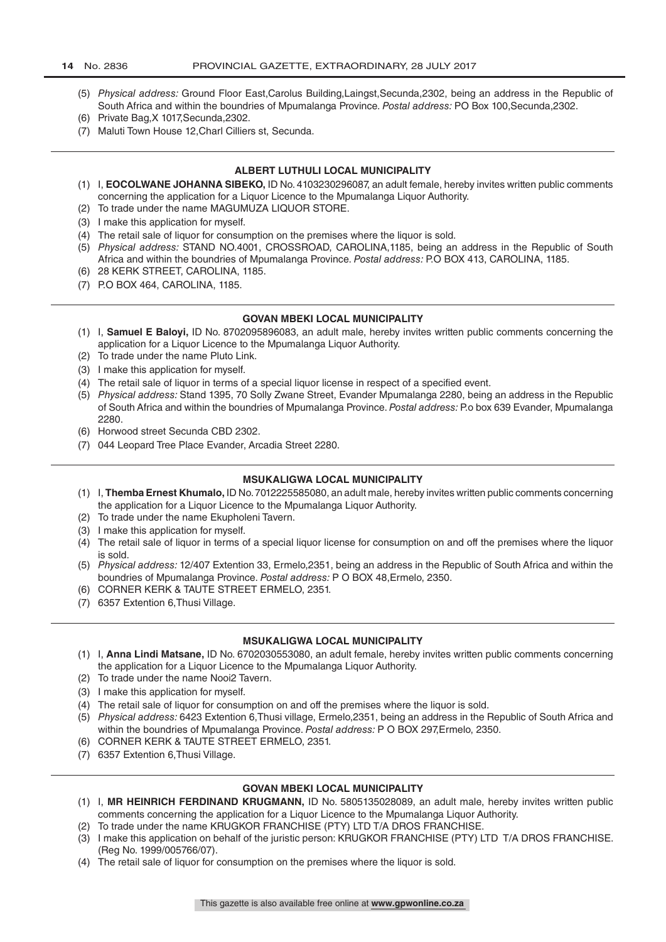- (5) *Physical address:* Ground Floor East,Carolus Building,Laingst,Secunda,2302, being an address in the Republic of South Africa and within the boundries of Mpumalanga Province. *Postal address:* PO Box 100,Secunda,2302.
- (6) Private Bag,X 1017,Secunda,2302.
- (7) Maluti Town House 12,Charl Cilliers st, Secunda.

#### **ALBERT LUTHULI LOCAL MUNICIPALITY**

- (1) I, **EOCOLWANE JOHANNA SIBEKO,** ID No. 4103230296087, an adult female, hereby invites written public comments concerning the application for a Liquor Licence to the Mpumalanga Liquor Authority.
- (2) To trade under the name MAGUMUZA LIQUOR STORE.
- (3) I make this application for myself.
- (4) The retail sale of liquor for consumption on the premises where the liquor is sold.
- (5) *Physical address:* STAND NO.4001, CROSSROAD, CAROLINA,1185, being an address in the Republic of South Africa and within the boundries of Mpumalanga Province. *Postal address:* P.O BOX 413, CAROLINA, 1185.
- (6) 28 KERK STREET, CAROLINA, 1185. (7) P.O BOX 464, CAROLINA, 1185.

#### **GOVAN MBEKI LOCAL MUNICIPALITY**

- (1) I, **Samuel E Baloyi,** ID No. 8702095896083, an adult male, hereby invites written public comments concerning the application for a Liquor Licence to the Mpumalanga Liquor Authority.
- (2) To trade under the name Pluto Link.
- (3) I make this application for myself.
- (4) The retail sale of liquor in terms of a special liquor license in respect of a specified event.
- (5) *Physical address:* Stand 1395, 70 Solly Zwane Street, Evander Mpumalanga 2280, being an address in the Republic of South Africa and within the boundries of Mpumalanga Province. *Postal address:* P.o box 639 Evander, Mpumalanga 2280.
- (6) Horwood street Secunda CBD 2302.
- (7) 044 Leopard Tree Place Evander, Arcadia Street 2280.

#### **MSUKALIGWA LOCAL MUNICIPALITY**

- (1) I, **Themba Ernest Khumalo,** ID No. 7012225585080, an adult male, hereby invites written public comments concerning the application for a Liquor Licence to the Mpumalanga Liquor Authority.
- (2) To trade under the name Ekupholeni Tavern.
- (3) I make this application for myself.
- (4) The retail sale of liquor in terms of a special liquor license for consumption on and off the premises where the liquor is sold.
- (5) *Physical address:* 12/407 Extention 33, Ermelo,2351, being an address in the Republic of South Africa and within the boundries of Mpumalanga Province. *Postal address:* P O BOX 48,Ermelo, 2350.
- (6) CORNER KERK & TAUTE STREET ERMELO, 2351.
- (7) 6357 Extention 6,Thusi Village.

#### **MSUKALIGWA LOCAL MUNICIPALITY**

- (1) I, **Anna Lindi Matsane,** ID No. 6702030553080, an adult female, hereby invites written public comments concerning the application for a Liquor Licence to the Mpumalanga Liquor Authority.
- (2) To trade under the name Nooi2 Tavern.
- (3) I make this application for myself.
- (4) The retail sale of liquor for consumption on and off the premises where the liquor is sold.
- (5) *Physical address:* 6423 Extention 6,Thusi village, Ermelo,2351, being an address in the Republic of South Africa and within the boundries of Mpumalanga Province. *Postal address:* P O BOX 297,Ermelo, 2350.
- (6) CORNER KERK & TAUTE STREET ERMELO, 2351.
- (7) 6357 Extention 6,Thusi Village.

#### **GOVAN MBEKI LOCAL MUNICIPALITY**

- (1) I, **MR HEINRICH FERDINAND KRUGMANN,** ID No. 5805135028089, an adult male, hereby invites written public comments concerning the application for a Liquor Licence to the Mpumalanga Liquor Authority.
- (2) To trade under the name KRUGKOR FRANCHISE (PTY) LTD T/A DROS FRANCHISE.
- (3) I make this application on behalf of the juristic person: KRUGKOR FRANCHISE (PTY) LTD T/A DROS FRANCHISE. (Reg No. 1999/005766/07).
- (4) The retail sale of liquor for consumption on the premises where the liquor is sold.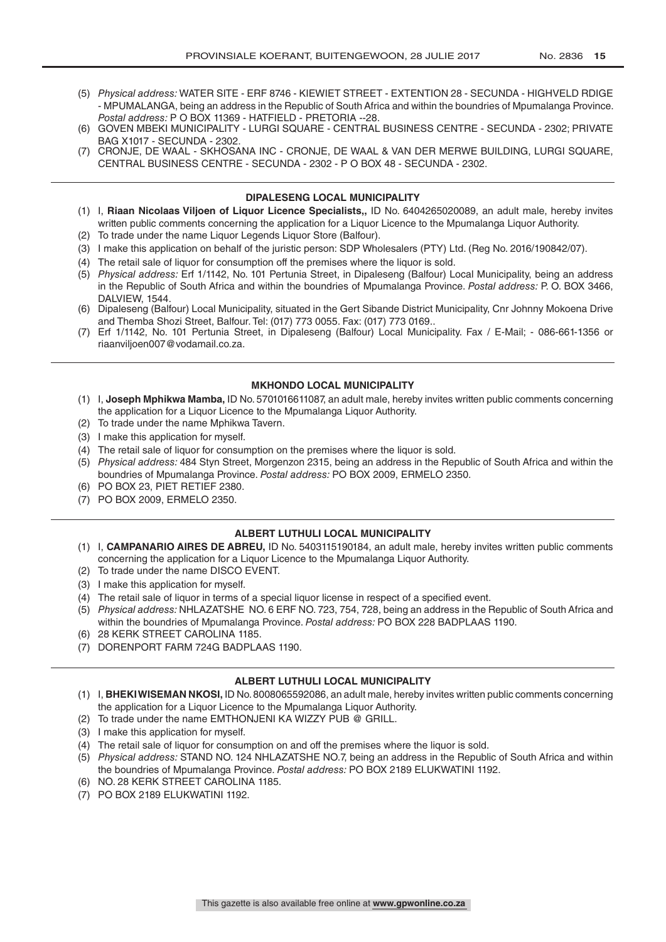- (5) *Physical address:* WATER SITE ERF 8746 KIEWIET STREET EXTENTION 28 SECUNDA HIGHVELD RDIGE - MPUMALANGA, being an address in the Republic of South Africa and within the boundries of Mpumalanga Province. *Postal address:* P O BOX 11369 - HATFIELD - PRETORIA --28.
- (6) GOVEN MBEKI MUNICIPALITY LURGI SQUARE CENTRAL BUSINESS CENTRE SECUNDA 2302; PRIVATE BAG X1017 - SECUNDA - 2302.
- (7) CRONJE, DE WAAL SKHOSANA INC CRONJE, DE WAAL & VAN DER MERWE BUILDING, LURGI SQUARE, CENTRAL BUSINESS CENTRE - SECUNDA - 2302 - P O BOX 48 - SECUNDA - 2302.

#### **DIPALESENG LOCAL MUNICIPALITY**

- (1) I, **Riaan Nicolaas Viljoen of Liquor Licence Specialists,,** ID No. 6404265020089, an adult male, hereby invites written public comments concerning the application for a Liquor Licence to the Mpumalanga Liquor Authority.
- (2) To trade under the name Liquor Legends Liquor Store (Balfour).
- (3) I make this application on behalf of the juristic person: SDP Wholesalers (PTY) Ltd. (Reg No. 2016/190842/07).
- (4) The retail sale of liquor for consumption off the premises where the liquor is sold.
- (5) *Physical address:* Erf 1/1142, No. 101 Pertunia Street, in Dipaleseng (Balfour) Local Municipality, being an address in the Republic of South Africa and within the boundries of Mpumalanga Province. *Postal address:* P. O. BOX 3466, DALVIEW, 1544.
- (6) Dipaleseng (Balfour) Local Municipality, situated in the Gert Sibande District Municipality, Cnr Johnny Mokoena Drive and Themba Shozi Street, Balfour. Tel: (017) 773 0055. Fax: (017) 773 0169..
- (7) Erf 1/1142, No. 101 Pertunia Street, in Dipaleseng (Balfour) Local Municipality. Fax / E-Mail; 086-661-1356 or riaanviljoen007@vodamail.co.za.

#### **MKHONDO LOCAL MUNICIPALITY**

- (1) I, **Joseph Mphikwa Mamba,** ID No. 5701016611087, an adult male, hereby invites written public comments concerning the application for a Liquor Licence to the Mpumalanga Liquor Authority.
- (2) To trade under the name Mphikwa Tavern.
- (3) I make this application for myself.
- (4) The retail sale of liquor for consumption on the premises where the liquor is sold.
- (5) *Physical address:* 484 Styn Street, Morgenzon 2315, being an address in the Republic of South Africa and within the boundries of Mpumalanga Province. *Postal address:* PO BOX 2009, ERMELO 2350.
- (6) PO BOX 23, PIET RETIEF 2380.
- (7) PO BOX 2009, ERMELO 2350.

#### **ALBERT LUTHULI LOCAL MUNICIPALITY**

- (1) I, **CAMPANARIO AIRES DE ABREU,** ID No. 5403115190184, an adult male, hereby invites written public comments concerning the application for a Liquor Licence to the Mpumalanga Liquor Authority.
- (2) To trade under the name DISCO EVENT.
- (3) I make this application for myself.
- (4) The retail sale of liquor in terms of a special liquor license in respect of a specified event.
- (5) *Physical address:* NHLAZATSHE NO. 6 ERF NO. 723, 754, 728, being an address in the Republic of South Africa and within the boundries of Mpumalanga Province. *Postal address:* PO BOX 228 BADPLAAS 1190.
- (6) 28 KERK STREET CAROLINA 1185.
- (7) DORENPORT FARM 724G BADPLAAS 1190.

#### **ALBERT LUTHULI LOCAL MUNICIPALITY**

- (1) I, **BHEKI WISEMAN NKOSI,** ID No. 8008065592086, an adult male, hereby invites written public comments concerning the application for a Liquor Licence to the Mpumalanga Liquor Authority.
- (2) To trade under the name EMTHONJENI KA WIZZY PUB @ GRILL.
- (3) I make this application for myself.
- (4) The retail sale of liquor for consumption on and off the premises where the liquor is sold.
- (5) *Physical address:* STAND NO. 124 NHLAZATSHE NO.7, being an address in the Republic of South Africa and within the boundries of Mpumalanga Province. *Postal address:* PO BOX 2189 ELUKWATINI 1192.
- (6) NO. 28 KERK STREET CAROLINA 1185.
- (7) PO BOX 2189 ELUKWATINI 1192.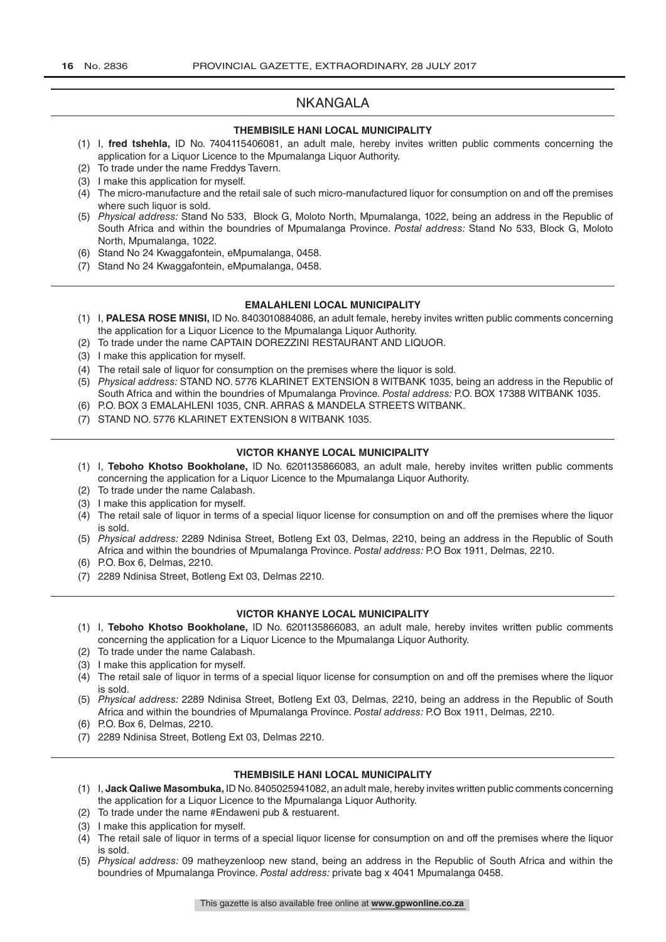# NKANGALA

#### **THEMBISILE HANI LOCAL MUNICIPALITY**

- (1) I, **fred tshehla,** ID No. 7404115406081, an adult male, hereby invites written public comments concerning the application for a Liquor Licence to the Mpumalanga Liquor Authority.
- (2) To trade under the name Freddys Tavern.
- (3) I make this application for myself.
- $(4)$  The micro-manufacture and the retail sale of such micro-manufactured liquor for consumption on and off the premises where such liquor is sold.
- (5) *Physical address:* Stand No 533, Block G, Moloto North, Mpumalanga, 1022, being an address in the Republic of South Africa and within the boundries of Mpumalanga Province. *Postal address:* Stand No 533, Block G, Moloto North, Mpumalanga, 1022.
- (6) Stand No 24 Kwaggafontein, eMpumalanga, 0458.
- (7) Stand No 24 Kwaggafontein, eMpumalanga, 0458.

#### **EMALAHLENI LOCAL MUNICIPALITY**

- (1) I, **PALESA ROSE MNISI,** ID No. 8403010884086, an adult female, hereby invites written public comments concerning the application for a Liquor Licence to the Mpumalanga Liquor Authority.
- (2) To trade under the name CAPTAIN DOREZZINI RESTAURANT AND LIQUOR.
- (3) I make this application for myself.
- (4) The retail sale of liquor for consumption on the premises where the liquor is sold.
- (5) *Physical address:* STAND NO. 5776 KLARINET EXTENSION 8 WITBANK 1035, being an address in the Republic of South Africa and within the boundries of Mpumalanga Province. *Postal address:* P.O. BOX 17388 WITBANK 1035.
- (6) P.O. BOX 3 EMALAHLENI 1035, CNR. ARRAS & MANDELA STREETS WITBANK.
- (7) STAND NO. 5776 KLARINET EXTENSION 8 WITBANK 1035.

#### **VICTOR KHANYE LOCAL MUNICIPALITY**

- (1) I, **Teboho Khotso Bookholane,** ID No. 6201135866083, an adult male, hereby invites written public comments concerning the application for a Liquor Licence to the Mpumalanga Liquor Authority.
- (2) To trade under the name Calabash.
- (3) I make this application for myself.
- (4) The retail sale of liquor in terms of a special liquor license for consumption on and off the premises where the liquor is sold.
- (5) *Physical address:* 2289 Ndinisa Street, Botleng Ext 03, Delmas, 2210, being an address in the Republic of South Africa and within the boundries of Mpumalanga Province. *Postal address:* P.O Box 1911, Delmas, 2210.
- (6) P.O. Box 6, Delmas, 2210.
- (7) 2289 Ndinisa Street, Botleng Ext 03, Delmas 2210.

#### **VICTOR KHANYE LOCAL MUNICIPALITY**

- (1) I, **Teboho Khotso Bookholane,** ID No. 6201135866083, an adult male, hereby invites written public comments concerning the application for a Liquor Licence to the Mpumalanga Liquor Authority.
- (2) To trade under the name Calabash.
- (3) I make this application for myself.
- (4) The retail sale of liquor in terms of a special liquor license for consumption on and off the premises where the liquor is sold.
- (5) *Physical address:* 2289 Ndinisa Street, Botleng Ext 03, Delmas, 2210, being an address in the Republic of South Africa and within the boundries of Mpumalanga Province. *Postal address:* P.O Box 1911, Delmas, 2210.
- (6) P.O. Box 6, Delmas, 2210.
- (7) 2289 Ndinisa Street, Botleng Ext 03, Delmas 2210.

#### **THEMBISILE HANI LOCAL MUNICIPALITY**

- (1) I, **Jack Qaliwe Masombuka,** ID No. 8405025941082, an adult male, hereby invites written public comments concerning the application for a Liquor Licence to the Mpumalanga Liquor Authority.
- (2) To trade under the name #Endaweni pub & restuarent.
- (3) I make this application for myself.
- (4) The retail sale of liquor in terms of a special liquor license for consumption on and off the premises where the liquor is sold.
- (5) *Physical address:* 09 matheyzenloop new stand, being an address in the Republic of South Africa and within the boundries of Mpumalanga Province. *Postal address:* private bag x 4041 Mpumalanga 0458.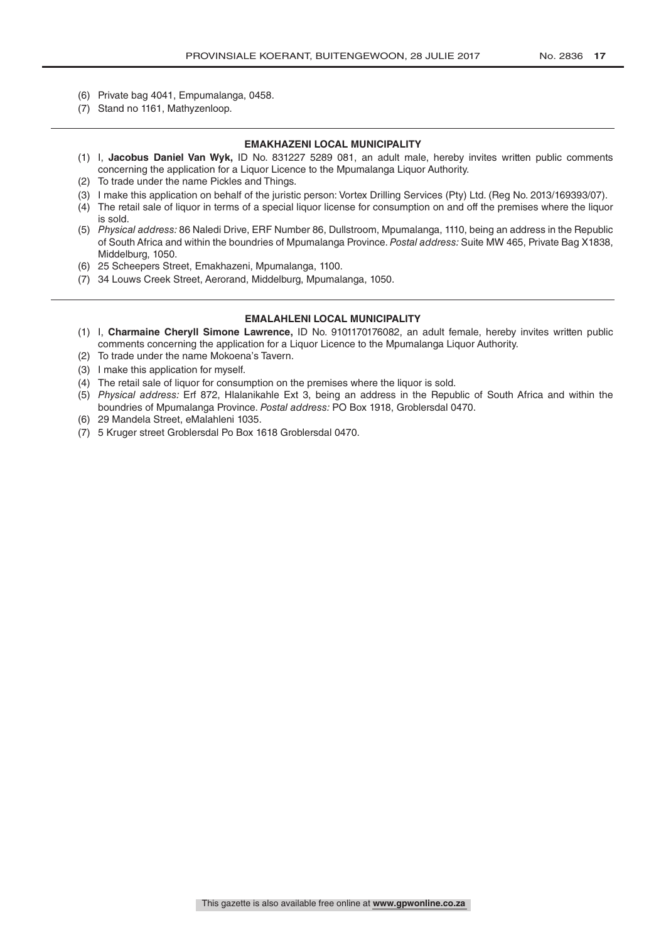- (6) Private bag 4041, Empumalanga, 0458.
- (7) Stand no 1161, Mathyzenloop.

#### **EMAKHAZENI LOCAL MUNICIPALITY**

- (1) I, **Jacobus Daniel Van Wyk,** ID No. 831227 5289 081, an adult male, hereby invites written public comments concerning the application for a Liquor Licence to the Mpumalanga Liquor Authority.
- (2) To trade under the name Pickles and Things.
- (3) I make this application on behalf of the juristic person: Vortex Drilling Services (Pty) Ltd. (Reg No. 2013/169393/07).
- (4) The retail sale of liquor in terms of a special liquor license for consumption on and off the premises where the liquor is sold.
- (5) *Physical address:* 86 Naledi Drive, ERF Number 86, Dullstroom, Mpumalanga, 1110, being an address in the Republic of South Africa and within the boundries of Mpumalanga Province. *Postal address:* Suite MW 465, Private Bag X1838, Middelburg, 1050.
- (6) 25 Scheepers Street, Emakhazeni, Mpumalanga, 1100.
- (7) 34 Louws Creek Street, Aerorand, Middelburg, Mpumalanga, 1050.

#### **EMALAHLENI LOCAL MUNICIPALITY**

- (1) I, **Charmaine Cheryll Simone Lawrence,** ID No. 9101170176082, an adult female, hereby invites written public comments concerning the application for a Liquor Licence to the Mpumalanga Liquor Authority.
- (2) To trade under the name Mokoena's Tavern.
- (3) I make this application for myself.
- (4) The retail sale of liquor for consumption on the premises where the liquor is sold.
- (5) *Physical address:* Erf 872, Hlalanikahle Ext 3, being an address in the Republic of South Africa and within the boundries of Mpumalanga Province. *Postal address:* PO Box 1918, Groblersdal 0470.
- (6) 29 Mandela Street, eMalahleni 1035.
- (7) 5 Kruger street Groblersdal Po Box 1618 Groblersdal 0470.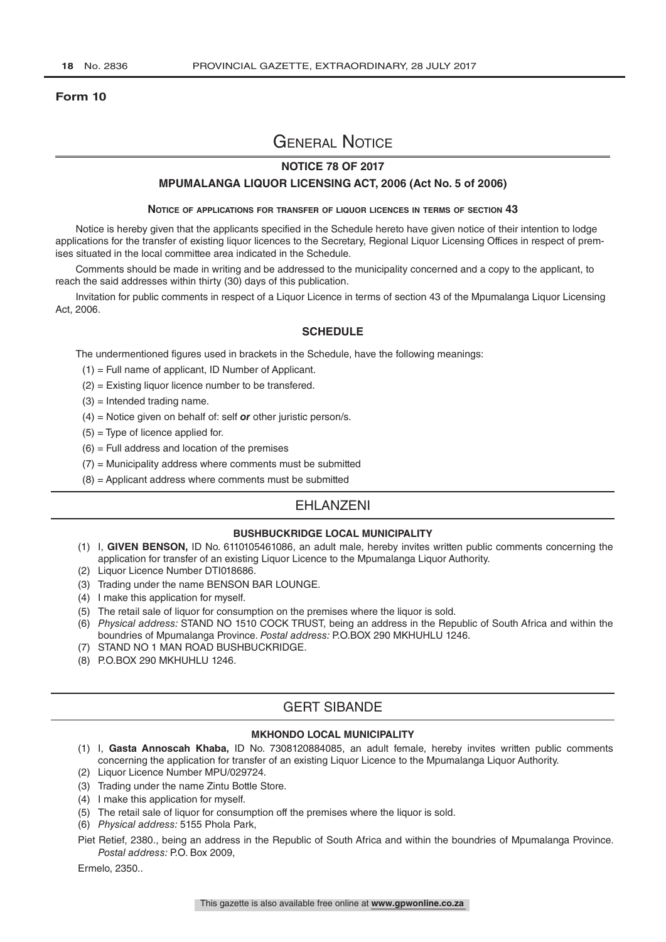#### **Form 10**

# General Notice

### **NOTICE 78 OF 2017**

#### **MPUMALANGA LIQUOR LICENSING ACT, 2006 (Act No. 5 of 2006)**

#### **Notice of applications for transfer of liquor licences in terms of section 43**

Notice is hereby given that the applicants specified in the Schedule hereto have given notice of their intention to lodge applications for the transfer of existing liquor licences to the Secretary, Regional Liquor Licensing Offices in respect of premises situated in the local committee area indicated in the Schedule.

Comments should be made in writing and be addressed to the municipality concerned and a copy to the applicant, to reach the said addresses within thirty (30) days of this publication.

Invitation for public comments in respect of a Liquor Licence in terms of section 43 of the Mpumalanga Liquor Licensing Act, 2006.

#### **SCHEDULE**

The undermentioned figures used in brackets in the Schedule, have the following meanings:

- (1) = Full name of applicant, ID Number of Applicant.
- (2) = Existing liquor licence number to be transfered.
- $(3)$  = Intended trading name.
- (4) = Notice given on behalf of: self *or* other juristic person/s.
- $(5)$  = Type of licence applied for.
- $(6)$  = Full address and location of the premises
- $(7)$  = Municipality address where comments must be submitted
- $(8)$  = Applicant address where comments must be submitted

### EHLANZENI

#### **BUSHBUCKRIDGE LOCAL MUNICIPALITY**

- (1) I, **GIVEN BENSON,** ID No. 6110105461086, an adult male, hereby invites written public comments concerning the application for transfer of an existing Liquor Licence to the Mpumalanga Liquor Authority.
- (2) Liquor Licence Number DTI018686.
- (3) Trading under the name BENSON BAR LOUNGE.
- (4) I make this application for myself.
- (5) The retail sale of liquor for consumption on the premises where the liquor is sold.
- (6) *Physical address:* STAND NO 1510 COCK TRUST, being an address in the Republic of South Africa and within the boundries of Mpumalanga Province. *Postal address:* P.O.BOX 290 MKHUHLU 1246.
- (7) STAND NO 1 MAN ROAD BUSHBUCKRIDGE.
- (8) P.O.BOX 290 MKHUHLU 1246.

# GERT SIBANDE

#### **MKHONDO LOCAL MUNICIPALITY**

- (1) I, **Gasta Annoscah Khaba,** ID No. 7308120884085, an adult female, hereby invites written public comments concerning the application for transfer of an existing Liquor Licence to the Mpumalanga Liquor Authority.
- (2) Liquor Licence Number MPU/029724.
- (3) Trading under the name Zintu Bottle Store.
- (4) I make this application for myself.
- (5) The retail sale of liquor for consumption off the premises where the liquor is sold.
- (6) *Physical address:* 5155 Phola Park,
- Piet Retief, 2380., being an address in the Republic of South Africa and within the boundries of Mpumalanga Province. *Postal address:* P.O. Box 2009,

Ermelo, 2350..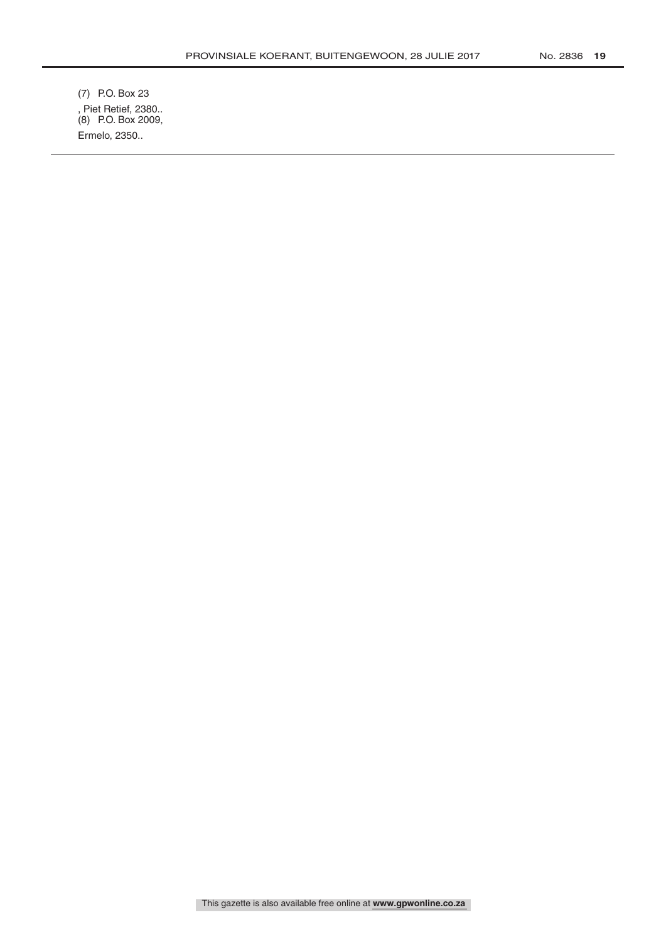(7) P.O. Box 23 , Piet Retief, 2380.. (8) P.O. Box 2009, Ermelo, 2350..